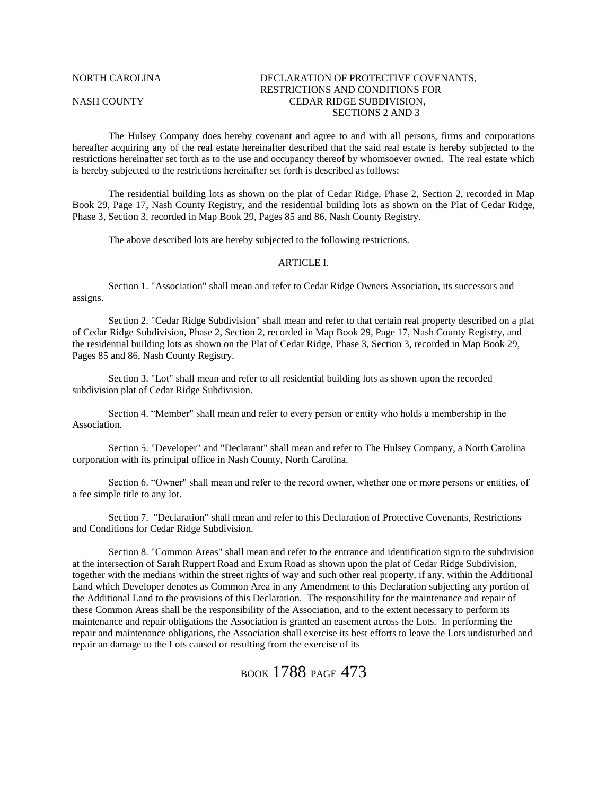### NORTH CAROLINA DECLARATION OF PROTECTIVE COVENANTS, RESTRICTIONS AND CONDITIONS FOR NASH COUNTY CEDAR RIDGE SUBDIVISION, SECTIONS 2 AND 3

The Hulsey Company does hereby covenant and agree to and with all persons, firms and corporations hereafter acquiring any of the real estate hereinafter described that the said real estate is hereby subjected to the restrictions hereinafter set forth as to the use and occupancy thereof by whomsoever owned. The real estate which is hereby subjected to the restrictions hereinafter set forth is described as follows:

The residential building lots as shown on the plat of Cedar Ridge, Phase 2, Section 2, recorded in Map Book 29, Page 17, Nash County Registry, and the residential building lots as shown on the Plat of Cedar Ridge, Phase 3, Section 3, recorded in Map Book 29, Pages 85 and 86, Nash County Registry.

The above described lots are hereby subjected to the following restrictions.

#### ARTICLE I.

Section 1. "Association" shall mean and refer to Cedar Ridge Owners Association, its successors and assigns.

Section 2. "Cedar Ridge Subdivision" shall mean and refer to that certain real property described on a plat of Cedar Ridge Subdivision, Phase 2, Section 2, recorded in Map Book 29, Page 17, Nash County Registry, and the residential building lots as shown on the Plat of Cedar Ridge, Phase 3, Section 3, recorded in Map Book 29, Pages 85 and 86, Nash County Registry.

Section 3. "Lot" shall mean and refer to all residential building lots as shown upon the recorded subdivision plat of Cedar Ridge Subdivision.

Section 4. "Member" shall mean and refer to every person or entity who holds a membership in the Association.

Section 5. "Developer" and "Declarant" shall mean and refer to The Hulsey Company, a North Carolina corporation with its principal office in Nash County, North Carolina.

Section 6. "Owner" shall mean and refer to the record owner, whether one or more persons or entities, of a fee simple title to any lot.

Section 7. "Declaration" shall mean and refer to this Declaration of Protective Covenants, Restrictions and Conditions for Cedar Ridge Subdivision.

Section 8. "Common Areas" shall mean and refer to the entrance and identification sign to the subdivision at the intersection of Sarah Ruppert Road and Exum Road as shown upon the plat of Cedar Ridge Subdivision, together with the medians within the street rights of way and such other real property, if any, within the Additional Land which Developer denotes as Common Area in any Amendment to this Declaration subjecting any portion of the Additional Land to the provisions of this Declaration. The responsibility for the maintenance and repair of these Common Areas shall be the responsibility of the Association, and to the extent necessary to perform its maintenance and repair obligations the Association is granted an easement across the Lots. In performing the repair and maintenance obligations, the Association shall exercise its best efforts to leave the Lots undisturbed and repair an damage to the Lots caused or resulting from the exercise of its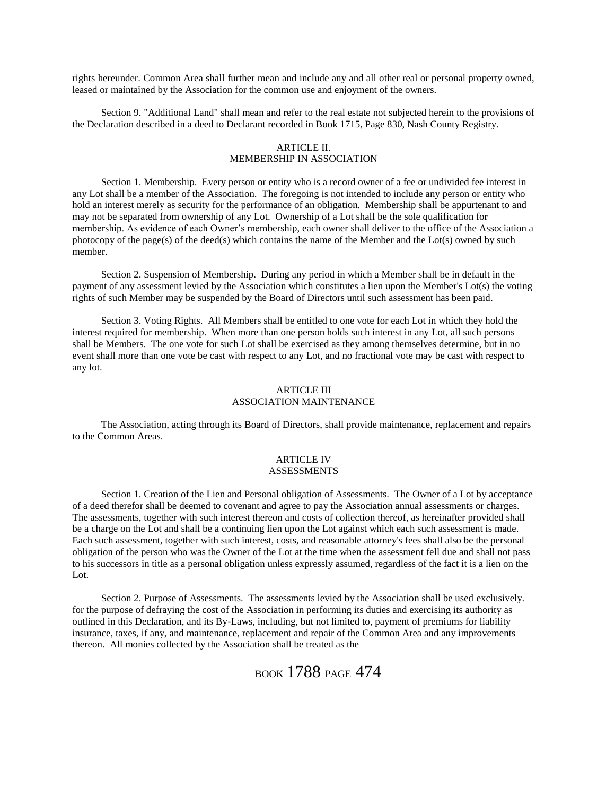rights hereunder. Common Area shall further mean and include any and all other real or personal property owned, leased or maintained by the Association for the common use and enjoyment of the owners.

Section 9. "Additional Land" shall mean and refer to the real estate not subjected herein to the provisions of the Declaration described in a deed to Declarant recorded in Book 1715, Page 830, Nash County Registry.

### ARTICLE II. MEMBERSHIP IN ASSOCIATION

Section 1. Membership. Every person or entity who is a record owner of a fee or undivided fee interest in any Lot shall be a member of the Association. The foregoing is not intended to include any person or entity who hold an interest merely as security for the performance of an obligation. Membership shall be appurtenant to and may not be separated from ownership of any Lot. Ownership of a Lot shall be the sole qualification for membership. As evidence of each Owner's membership, each owner shall deliver to the office of the Association a photocopy of the page(s) of the deed(s) which contains the name of the Member and the Lot(s) owned by such member.

Section 2. Suspension of Membership. During any period in which a Member shall be in default in the payment of any assessment levied by the Association which constitutes a lien upon the Member's Lot(s) the voting rights of such Member may be suspended by the Board of Directors until such assessment has been paid.

Section 3. Voting Rights. All Members shall be entitled to one vote for each Lot in which they hold the interest required for membership. When more than one person holds such interest in any Lot, all such persons shall be Members. The one vote for such Lot shall be exercised as they among themselves determine, but in no event shall more than one vote be cast with respect to any Lot, and no fractional vote may be cast with respect to any lot.

#### ARTICLE III ASSOCIATION MAINTENANCE

The Association, acting through its Board of Directors, shall provide maintenance, replacement and repairs to the Common Areas.

#### ARTICLE IV ASSESSMENTS

Section 1. Creation of the Lien and Personal obligation of Assessments. The Owner of a Lot by acceptance of a deed therefor shall be deemed to covenant and agree to pay the Association annual assessments or charges. The assessments, together with such interest thereon and costs of collection thereof, as hereinafter provided shall be a charge on the Lot and shall be a continuing lien upon the Lot against which each such assessment is made. Each such assessment, together with such interest, costs, and reasonable attorney's fees shall also be the personal obligation of the person who was the Owner of the Lot at the time when the assessment fell due and shall not pass to his successors in title as a personal obligation unless expressly assumed, regardless of the fact it is a lien on the Lot.

Section 2. Purpose of Assessments. The assessments levied by the Association shall be used exclusively. for the purpose of defraying the cost of the Association in performing its duties and exercising its authority as outlined in this Declaration, and its By-Laws, including, but not limited to, payment of premiums for liability insurance, taxes, if any, and maintenance, replacement and repair of the Common Area and any improvements thereon. All monies collected by the Association shall be treated as the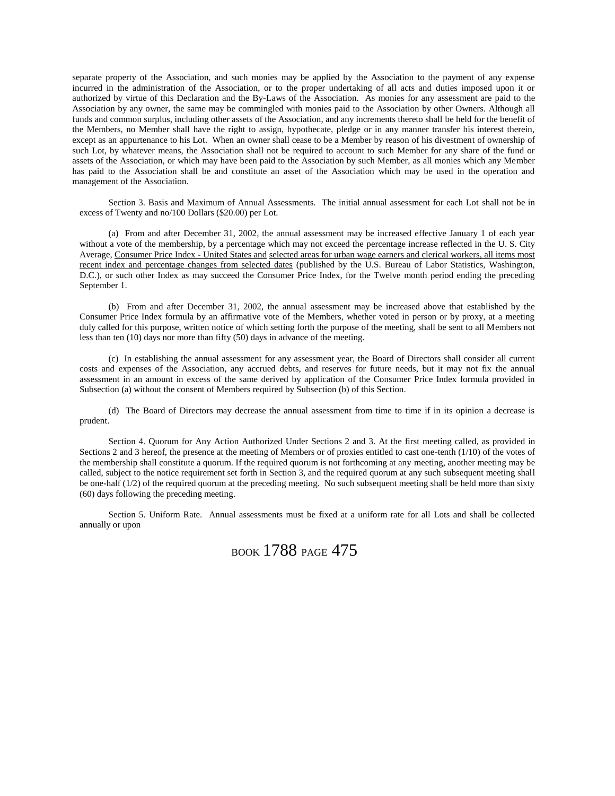separate property of the Association, and such monies may be applied by the Association to the payment of any expense incurred in the administration of the Association, or to the proper undertaking of all acts and duties imposed upon it or authorized by virtue of this Declaration and the By-Laws of the Association. As monies for any assessment are paid to the Association by any owner, the same may be commingled with monies paid to the Association by other Owners. Although all funds and common surplus, including other assets of the Association, and any increments thereto shall be held for the benefit of the Members, no Member shall have the right to assign, hypothecate, pledge or in any manner transfer his interest therein, except as an appurtenance to his Lot. When an owner shall cease to be a Member by reason of his divestment of ownership of such Lot, by whatever means, the Association shall not be required to account to such Member for any share of the fund or assets of the Association, or which may have been paid to the Association by such Member, as all monies which any Member has paid to the Association shall be and constitute an asset of the Association which may be used in the operation and management of the Association.

Section 3. Basis and Maximum of Annual Assessments. The initial annual assessment for each Lot shall not be in excess of Twenty and no/100 Dollars (\$20.00) per Lot.

(a) From and after December 31, 2002, the annual assessment may be increased effective January 1 of each year without a vote of the membership, by a percentage which may not exceed the percentage increase reflected in the U. S. City Average, Consumer Price Index - United States and selected areas for urban wage earners and clerical workers, all items most recent index and percentage changes from selected dates (published by the U.S. Bureau of Labor Statistics, Washington, D.C.), or such other Index as may succeed the Consumer Price Index, for the Twelve month period ending the preceding September 1.

(b) From and after December 31, 2002, the annual assessment may be increased above that established by the Consumer Price Index formula by an affirmative vote of the Members, whether voted in person or by proxy, at a meeting duly called for this purpose, written notice of which setting forth the purpose of the meeting, shall be sent to all Members not less than ten (10) days nor more than fifty (50) days in advance of the meeting.

(c) In establishing the annual assessment for any assessment year, the Board of Directors shall consider all current costs and expenses of the Association, any accrued debts, and reserves for future needs, but it may not fix the annual assessment in an amount in excess of the same derived by application of the Consumer Price Index formula provided in Subsection (a) without the consent of Members required by Subsection (b) of this Section.

(d) The Board of Directors may decrease the annual assessment from time to time if in its opinion a decrease is prudent.

Section 4. Quorum for Any Action Authorized Under Sections 2 and 3. At the first meeting called, as provided in Sections 2 and 3 hereof, the presence at the meeting of Members or of proxies entitled to cast one-tenth (1/10) of the votes of the membership shall constitute a quorum. If the required quorum is not forthcoming at any meeting, another meeting may be called, subject to the notice requirement set forth in Section 3, and the required quorum at any such subsequent meeting shall be one-half (1/2) of the required quorum at the preceding meeting. No such subsequent meeting shall be held more than sixty (60) days following the preceding meeting.

Section 5. Uniform Rate. Annual assessments must be fixed at a uniform rate for all Lots and shall be collected annually or upon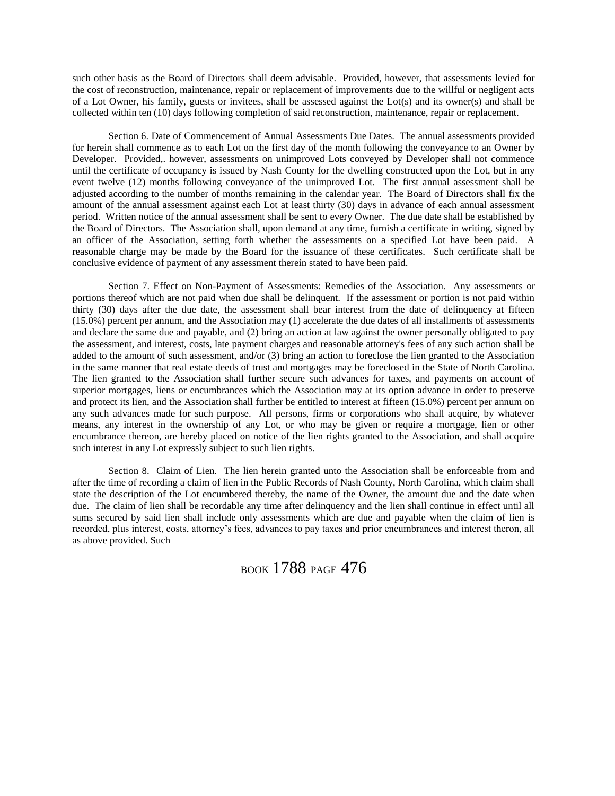such other basis as the Board of Directors shall deem advisable. Provided, however, that assessments levied for the cost of reconstruction, maintenance, repair or replacement of improvements due to the willful or negligent acts of a Lot Owner, his family, guests or invitees, shall be assessed against the Lot(s) and its owner(s) and shall be collected within ten (10) days following completion of said reconstruction, maintenance, repair or replacement.

Section 6. Date of Commencement of Annual Assessments Due Dates. The annual assessments provided for herein shall commence as to each Lot on the first day of the month following the conveyance to an Owner by Developer. Provided,. however, assessments on unimproved Lots conveyed by Developer shall not commence until the certificate of occupancy is issued by Nash County for the dwelling constructed upon the Lot, but in any event twelve (12) months following conveyance of the unimproved Lot. The first annual assessment shall be adjusted according to the number of months remaining in the calendar year. The Board of Directors shall fix the amount of the annual assessment against each Lot at least thirty (30) days in advance of each annual assessment period. Written notice of the annual assessment shall be sent to every Owner. The due date shall be established by the Board of Directors. The Association shall, upon demand at any time, furnish a certificate in writing, signed by an officer of the Association, setting forth whether the assessments on a specified Lot have been paid. A reasonable charge may be made by the Board for the issuance of these certificates. Such certificate shall be conclusive evidence of payment of any assessment therein stated to have been paid.

Section 7. Effect on Non-Payment of Assessments: Remedies of the Association. Any assessments or portions thereof which are not paid when due shall be delinquent. If the assessment or portion is not paid within thirty (30) days after the due date, the assessment shall bear interest from the date of delinquency at fifteen (15.0%) percent per annum, and the Association may (1) accelerate the due dates of all installments of assessments and declare the same due and payable, and (2) bring an action at law against the owner personally obligated to pay the assessment, and interest, costs, late payment charges and reasonable attorney's fees of any such action shall be added to the amount of such assessment, and/or (3) bring an action to foreclose the lien granted to the Association in the same manner that real estate deeds of trust and mortgages may be foreclosed in the State of North Carolina. The lien granted to the Association shall further secure such advances for taxes, and payments on account of superior mortgages, liens or encumbrances which the Association may at its option advance in order to preserve and protect its lien, and the Association shall further be entitled to interest at fifteen (15.0%) percent per annum on any such advances made for such purpose. All persons, firms or corporations who shall acquire, by whatever means, any interest in the ownership of any Lot, or who may be given or require a mortgage, lien or other encumbrance thereon, are hereby placed on notice of the lien rights granted to the Association, and shall acquire such interest in any Lot expressly subject to such lien rights.

Section 8. Claim of Lien. The lien herein granted unto the Association shall be enforceable from and after the time of recording a claim of lien in the Public Records of Nash County, North Carolina, which claim shall state the description of the Lot encumbered thereby, the name of the Owner, the amount due and the date when due. The claim of lien shall be recordable any time after delinquency and the lien shall continue in effect until all sums secured by said lien shall include only assessments which are due and payable when the claim of lien is recorded, plus interest, costs, attorney's fees, advances to pay taxes and prior encumbrances and interest theron, all as above provided. Such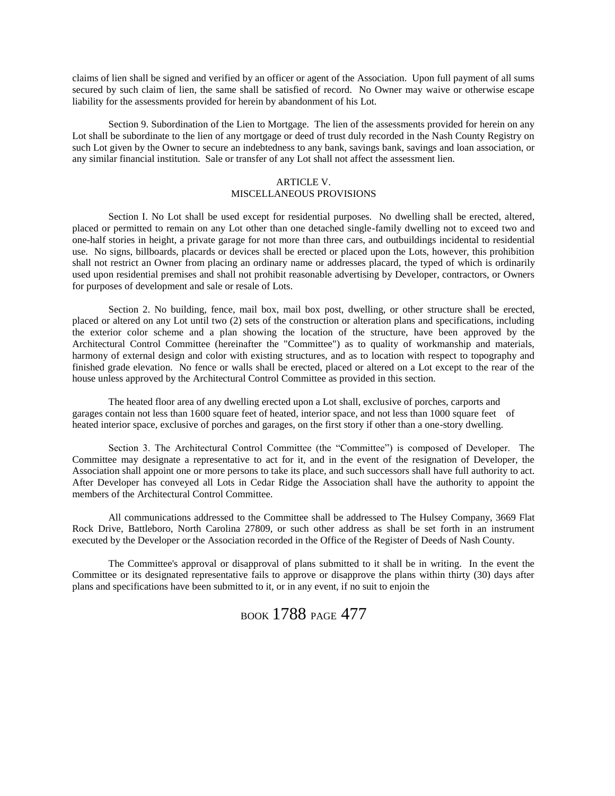claims of lien shall be signed and verified by an officer or agent of the Association. Upon full payment of all sums secured by such claim of lien, the same shall be satisfied of record. No Owner may waive or otherwise escape liability for the assessments provided for herein by abandonment of his Lot.

Section 9. Subordination of the Lien to Mortgage. The lien of the assessments provided for herein on any Lot shall be subordinate to the lien of any mortgage or deed of trust duly recorded in the Nash County Registry on such Lot given by the Owner to secure an indebtedness to any bank, savings bank, savings and loan association, or any similar financial institution. Sale or transfer of any Lot shall not affect the assessment lien.

### ARTICLE V. MISCELLANEOUS PROVISIONS

Section I. No Lot shall be used except for residential purposes. No dwelling shall be erected, altered, placed or permitted to remain on any Lot other than one detached single-family dwelling not to exceed two and one-half stories in height, a private garage for not more than three cars, and outbuildings incidental to residential use. No signs, billboards, placards or devices shall be erected or placed upon the Lots, however, this prohibition shall not restrict an Owner from placing an ordinary name or addresses placard, the typed of which is ordinarily used upon residential premises and shall not prohibit reasonable advertising by Developer, contractors, or Owners for purposes of development and sale or resale of Lots.

Section 2. No building, fence, mail box, mail box post, dwelling, or other structure shall be erected, placed or altered on any Lot until two (2) sets of the construction or alteration plans and specifications, including the exterior color scheme and a plan showing the location of the structure, have been approved by the Architectural Control Committee (hereinafter the "Committee") as to quality of workmanship and materials, harmony of external design and color with existing structures, and as to location with respect to topography and finished grade elevation. No fence or walls shall be erected, placed or altered on a Lot except to the rear of the house unless approved by the Architectural Control Committee as provided in this section.

The heated floor area of any dwelling erected upon a Lot shall, exclusive of porches, carports and garages contain not less than 1600 square feet of heated, interior space, and not less than 1000 square feet of heated interior space, exclusive of porches and garages, on the first story if other than a one-story dwelling.

Section 3. The Architectural Control Committee (the "Committee") is composed of Developer. The Committee may designate a representative to act for it, and in the event of the resignation of Developer, the Association shall appoint one or more persons to take its place, and such successors shall have full authority to act. After Developer has conveyed all Lots in Cedar Ridge the Association shall have the authority to appoint the members of the Architectural Control Committee.

All communications addressed to the Committee shall be addressed to The Hulsey Company, 3669 Flat Rock Drive, Battleboro, North Carolina 27809, or such other address as shall be set forth in an instrument executed by the Developer or the Association recorded in the Office of the Register of Deeds of Nash County.

The Committee's approval or disapproval of plans submitted to it shall be in writing. In the event the Committee or its designated representative fails to approve or disapprove the plans within thirty (30) days after plans and specifications have been submitted to it, or in any event, if no suit to enjoin the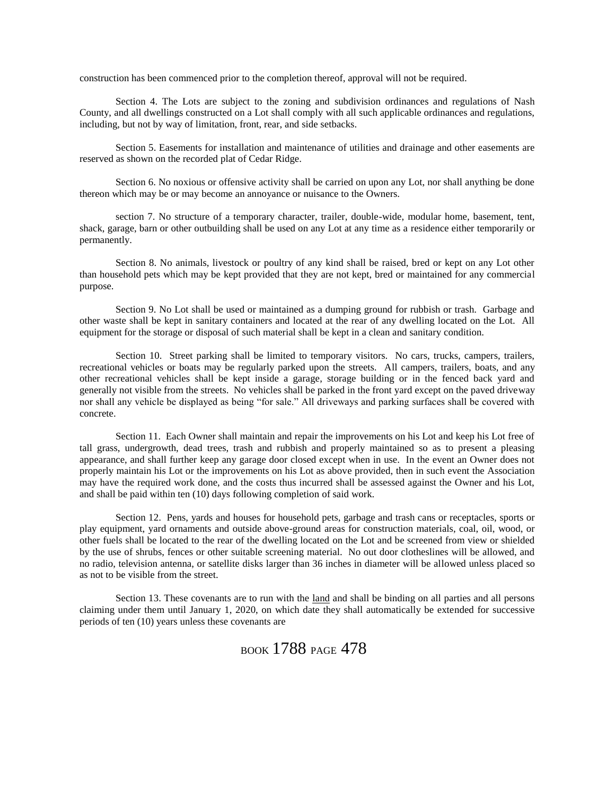construction has been commenced prior to the completion thereof, approval will not be required.

Section 4. The Lots are subject to the zoning and subdivision ordinances and regulations of Nash County, and all dwellings constructed on a Lot shall comply with all such applicable ordinances and regulations, including, but not by way of limitation, front, rear, and side setbacks.

Section 5. Easements for installation and maintenance of utilities and drainage and other easements are reserved as shown on the recorded plat of Cedar Ridge.

Section 6. No noxious or offensive activity shall be carried on upon any Lot, nor shall anything be done thereon which may be or may become an annoyance or nuisance to the Owners.

section 7. No structure of a temporary character, trailer, double-wide, modular home, basement, tent, shack, garage, barn or other outbuilding shall be used on any Lot at any time as a residence either temporarily or permanently.

Section 8. No animals, livestock or poultry of any kind shall be raised, bred or kept on any Lot other than household pets which may be kept provided that they are not kept, bred or maintained for any commercial purpose.

Section 9. No Lot shall be used or maintained as a dumping ground for rubbish or trash. Garbage and other waste shall be kept in sanitary containers and located at the rear of any dwelling located on the Lot. All equipment for the storage or disposal of such material shall be kept in a clean and sanitary condition.

Section 10. Street parking shall be limited to temporary visitors. No cars, trucks, campers, trailers, recreational vehicles or boats may be regularly parked upon the streets. All campers, trailers, boats, and any other recreational vehicles shall be kept inside a garage, storage building or in the fenced back yard and generally not visible from the streets. No vehicles shall be parked in the front yard except on the paved driveway nor shall any vehicle be displayed as being "for sale." All driveways and parking surfaces shall be covered with concrete.

Section 11. Each Owner shall maintain and repair the improvements on his Lot and keep his Lot free of tall grass, undergrowth, dead trees, trash and rubbish and properly maintained so as to present a pleasing appearance, and shall further keep any garage door closed except when in use. In the event an Owner does not properly maintain his Lot or the improvements on his Lot as above provided, then in such event the Association may have the required work done, and the costs thus incurred shall be assessed against the Owner and his Lot, and shall be paid within ten (10) days following completion of said work.

Section 12. Pens, yards and houses for household pets, garbage and trash cans or receptacles, sports or play equipment, yard ornaments and outside above-ground areas for construction materials, coal, oil, wood, or other fuels shall be located to the rear of the dwelling located on the Lot and be screened from view or shielded by the use of shrubs, fences or other suitable screening material. No out door clotheslines will be allowed, and no radio, television antenna, or satellite disks larger than 36 inches in diameter will be allowed unless placed so as not to be visible from the street.

Section 13. These covenants are to run with the land and shall be binding on all parties and all persons claiming under them until January 1, 2020, on which date they shall automatically be extended for successive periods of ten (10) years unless these covenants are